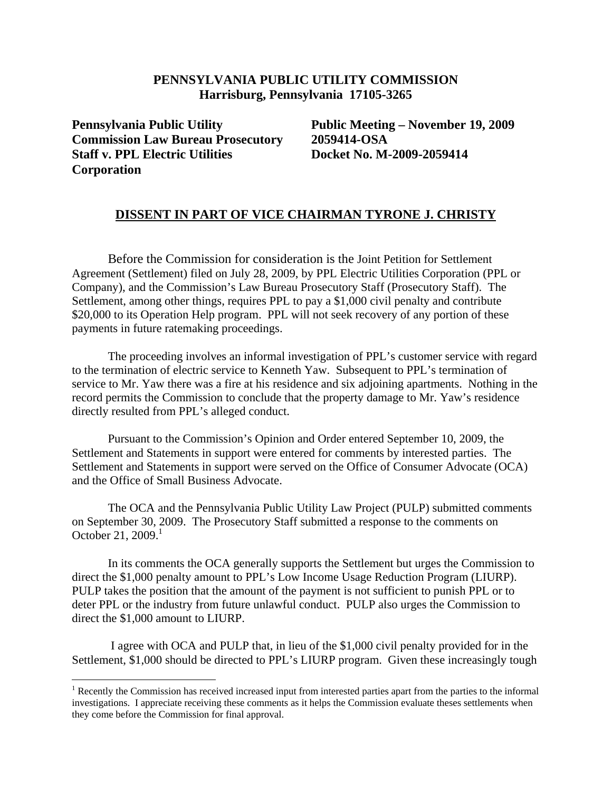## **PENNSYLVANIA PUBLIC UTILITY COMMISSION Harrisburg, Pennsylvania 17105-3265**

**Pennsylvania Public Utility Commission Law Bureau Prosecutory Staff v. PPL Electric Utilities Corporation** 

 $\overline{a}$ 

 **Public Meeting – November 19, 2009 2059414-OSA Docket No. M-2009-2059414** 

## **DISSENT IN PART OF VICE CHAIRMAN TYRONE J. CHRISTY**

 Before the Commission for consideration is the Joint Petition for Settlement Agreement (Settlement) filed on July 28, 2009, by PPL Electric Utilities Corporation (PPL or Company), and the Commission's Law Bureau Prosecutory Staff (Prosecutory Staff). The Settlement, among other things, requires PPL to pay a \$1,000 civil penalty and contribute \$20,000 to its Operation Help program. PPL will not seek recovery of any portion of these payments in future ratemaking proceedings.

 The proceeding involves an informal investigation of PPL's customer service with regard to the termination of electric service to Kenneth Yaw. Subsequent to PPL's termination of service to Mr. Yaw there was a fire at his residence and six adjoining apartments. Nothing in the record permits the Commission to conclude that the property damage to Mr. Yaw's residence directly resulted from PPL's alleged conduct.

 Pursuant to the Commission's Opinion and Order entered September 10, 2009, the Settlement and Statements in support were entered for comments by interested parties. The Settlement and Statements in support were served on the Office of Consumer Advocate (OCA) and the Office of Small Business Advocate.

The OCA and the Pennsylvania Public Utility Law Project (PULP) submitted comments on September 30, 2009. The Prosecutory Staff submitted a response to the comments on October 21, 2009. $1$ 

In its comments the OCA generally supports the Settlement but urges the Commission to direct the \$1,000 penalty amount to PPL's Low Income Usage Reduction Program (LIURP). PULP takes the position that the amount of the payment is not sufficient to punish PPL or to deter PPL or the industry from future unlawful conduct. PULP also urges the Commission to direct the \$1,000 amount to LIURP.

 I agree with OCA and PULP that, in lieu of the \$1,000 civil penalty provided for in the Settlement, \$1,000 should be directed to PPL's LIURP program. Given these increasingly tough

<sup>&</sup>lt;sup>1</sup> Recently the Commission has received increased input from interested parties apart from the parties to the informal investigations. I appreciate receiving these comments as it helps the Commission evaluate theses settlements when they come before the Commission for final approval.